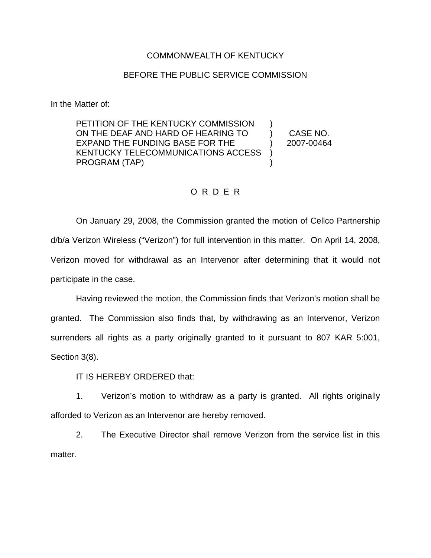## COMMONWEALTH OF KENTUCKY

## BEFORE THE PUBLIC SERVICE COMMISSION

In the Matter of:

PETITION OF THE KENTUCKY COMMISSION ON THE DEAF AND HARD OF HEARING TO EXPAND THE FUNDING BASE FOR THE KENTUCKY TELECOMMUNICATIONS ACCESS PROGRAM (TAP) ) ) CASE NO. ) 2007-00464  $\mathcal{L}$ )

## O R D E R

On January 29, 2008, the Commission granted the motion of Cellco Partnership d/b/a Verizon Wireless ("Verizon") for full intervention in this matter. On April 14, 2008, Verizon moved for withdrawal as an Intervenor after determining that it would not participate in the case.

Having reviewed the motion, the Commission finds that Verizon's motion shall be granted. The Commission also finds that, by withdrawing as an Intervenor, Verizon surrenders all rights as a party originally granted to it pursuant to 807 KAR 5:001, Section 3(8).

IT IS HEREBY ORDERED that:

1. Verizon's motion to withdraw as a party is granted. All rights originally afforded to Verizon as an Intervenor are hereby removed.

2. The Executive Director shall remove Verizon from the service list in this matter.